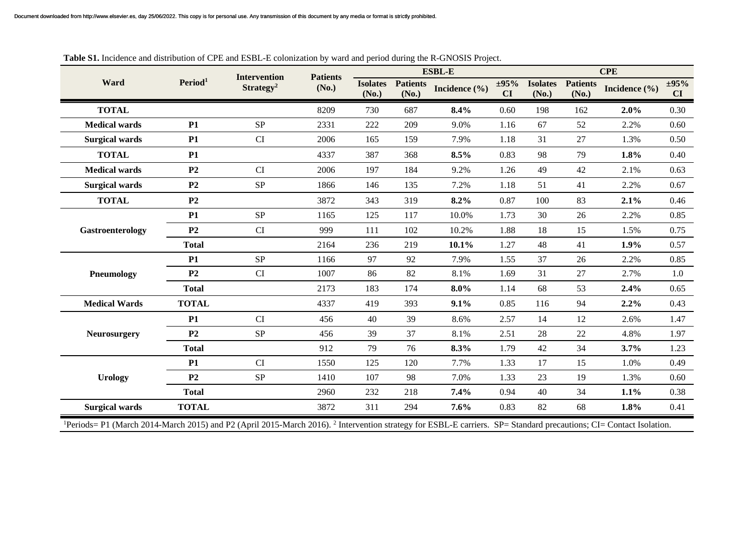|                                                                                                                                                                                           | Period <sup>1</sup> | <b>Intervention</b><br>Strategy <sup>2</sup> | <b>Patients</b><br>(No.) | <b>ESBL-E</b>            |                          |                   |                  | <b>CPE</b>               |                          |               |                  |  |
|-------------------------------------------------------------------------------------------------------------------------------------------------------------------------------------------|---------------------|----------------------------------------------|--------------------------|--------------------------|--------------------------|-------------------|------------------|--------------------------|--------------------------|---------------|------------------|--|
| Ward                                                                                                                                                                                      |                     |                                              |                          | <b>Isolates</b><br>(No.) | <b>Patients</b><br>(No.) | Incidence $(\% )$ | $\pm 95\%$<br>CI | <b>Isolates</b><br>(No.) | <b>Patients</b><br>(No.) | Incidence (%) | $\pm 95\%$<br>CI |  |
| <b>TOTAL</b>                                                                                                                                                                              |                     |                                              | 8209                     | 730                      | 687                      | 8.4%              | 0.60             | 198                      | 162                      | 2.0%          | 0.30             |  |
| <b>Medical wards</b>                                                                                                                                                                      | P1                  | <b>SP</b>                                    | 2331                     | 222                      | 209                      | 9.0%              | 1.16             | 67                       | 52                       | 2.2%          | 0.60             |  |
| <b>Surgical wards</b>                                                                                                                                                                     | <b>P1</b>           | <b>CI</b>                                    | 2006                     | 165                      | 159                      | 7.9%              | 1.18             | 31                       | 27                       | 1.3%          | 0.50             |  |
| <b>TOTAL</b>                                                                                                                                                                              | <b>P1</b>           |                                              | 4337                     | 387                      | 368                      | 8.5%              | 0.83             | 98                       | 79                       | 1.8%          | 0.40             |  |
| <b>Medical wards</b>                                                                                                                                                                      | P <sub>2</sub>      | CI                                           | 2006                     | 197                      | 184                      | 9.2%              | 1.26             | 49                       | 42                       | 2.1%          | 0.63             |  |
| <b>Surgical wards</b>                                                                                                                                                                     | P <sub>2</sub>      | <b>SP</b>                                    | 1866                     | 146                      | 135                      | 7.2%              | 1.18             | 51                       | 41                       | 2.2%          | 0.67             |  |
| <b>TOTAL</b>                                                                                                                                                                              | P <sub>2</sub>      |                                              | 3872                     | 343                      | 319                      | 8.2%              | 0.87             | 100                      | 83                       | 2.1%          | 0.46             |  |
| Gastroenterology                                                                                                                                                                          | <b>P1</b>           | <b>SP</b>                                    | 1165                     | 125                      | 117                      | 10.0%             | 1.73             | 30                       | 26                       | 2.2%          | 0.85             |  |
|                                                                                                                                                                                           | P <sub>2</sub>      | CI                                           | 999                      | 111                      | 102                      | 10.2%             | 1.88             | 18                       | 15                       | 1.5%          | 0.75             |  |
|                                                                                                                                                                                           | <b>Total</b>        |                                              | 2164                     | 236                      | 219                      | 10.1%             | 1.27             | 48                       | 41                       | 1.9%          | 0.57             |  |
| Pneumology                                                                                                                                                                                | P1                  | <b>SP</b>                                    | 1166                     | 97                       | 92                       | 7.9%              | 1.55             | 37                       | 26                       | 2.2%          | 0.85             |  |
|                                                                                                                                                                                           | P <sub>2</sub>      | <b>CI</b>                                    | 1007                     | 86                       | 82                       | 8.1%              | 1.69             | 31                       | 27                       | 2.7%          | 1.0              |  |
|                                                                                                                                                                                           | <b>Total</b>        |                                              | 2173                     | 183                      | 174                      | $8.0\%$           | 1.14             | 68                       | 53                       | 2.4%          | 0.65             |  |
| <b>Medical Wards</b>                                                                                                                                                                      | <b>TOTAL</b>        |                                              | 4337                     | 419                      | 393                      | 9.1%              | 0.85             | 116                      | 94                       | 2.2%          | 0.43             |  |
|                                                                                                                                                                                           | P1                  | <b>CI</b>                                    | 456                      | 40                       | 39                       | 8.6%              | 2.57             | 14                       | 12                       | 2.6%          | 1.47             |  |
| <b>Neurosurgery</b>                                                                                                                                                                       | P <sub>2</sub>      | <b>SP</b>                                    | 456                      | 39                       | 37                       | 8.1%              | 2.51             | 28                       | 22                       | 4.8%          | 1.97             |  |
|                                                                                                                                                                                           | <b>Total</b>        |                                              | 912                      | 79                       | 76                       | 8.3%              | 1.79             | 42                       | 34                       | 3.7%          | 1.23             |  |
| <b>Urology</b>                                                                                                                                                                            | <b>P1</b>           | <b>CI</b>                                    | 1550                     | 125                      | 120                      | 7.7%              | 1.33             | 17                       | 15                       | 1.0%          | 0.49             |  |
|                                                                                                                                                                                           | P <sub>2</sub>      | <b>SP</b>                                    | 1410                     | 107                      | 98                       | 7.0%              | 1.33             | 23                       | 19                       | 1.3%          | 0.60             |  |
|                                                                                                                                                                                           | <b>Total</b>        |                                              | 2960                     | 232                      | 218                      | 7.4%              | 0.94             | 40                       | 34                       | 1.1%          | 0.38             |  |
| <b>Surgical wards</b>                                                                                                                                                                     | <b>TOTAL</b>        |                                              | 3872                     | 311                      | 294                      | 7.6%              | 0.83             | 82                       | 68                       | 1.8%          | 0.41             |  |
| <sup>1</sup> Periods= P1 (March 2014-March 2015) and P2 (April 2015-March 2016). <sup>2</sup> Intervention strategy for ESBL-E carriers. SP= Standard precautions; CI= Contact Isolation. |                     |                                              |                          |                          |                          |                   |                  |                          |                          |               |                  |  |

## **Table S1.** Incidence and distribution of CPE and ESBL-E colonization by ward and period during the R-GNOSIS Project.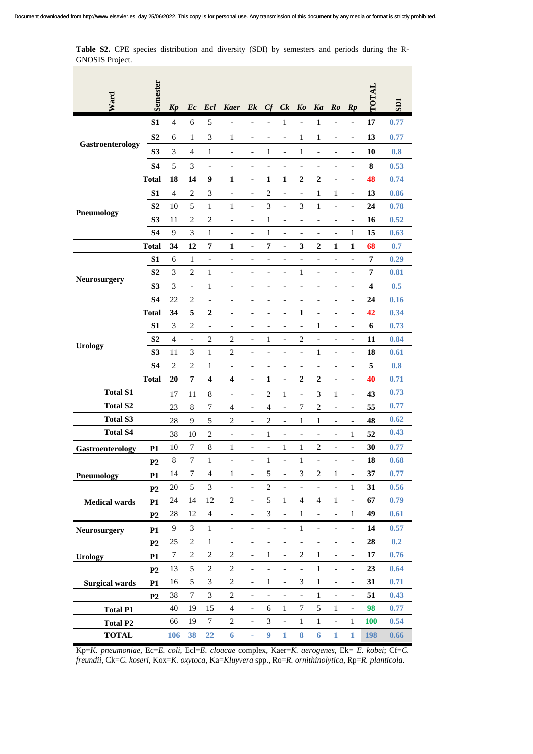Table S2. CPE species distribution and diversity (SDI) by semesters and periods during the R-GNOSIS Project.  $\sim$  $\sim$ 

 $\overline{\phantom{a}}$ 

| Ward                  | Semester       |                |                             |                             |                              |                              |                              |                              |                              |                          |                              |                              | <b>LATOT</b> | IGS  |
|-----------------------|----------------|----------------|-----------------------------|-----------------------------|------------------------------|------------------------------|------------------------------|------------------------------|------------------------------|--------------------------|------------------------------|------------------------------|--------------|------|
|                       |                | <b>Kp</b>      | Ec                          | Ecl                         | <b>Kaer</b>                  | E k                          | Cf                           | Ck                           | Ko                           | Ka                       | Ro                           | $\mathbb{R} p$               |              |      |
| Gastroenterology      | S1             | $\overline{4}$ | 6                           | 5                           | $\overline{\phantom{0}}$     | $\overline{\phantom{0}}$     | $\overline{a}$               | $\mathbf{1}$                 | $\blacksquare$               | $\mathbf{1}$             | $\blacksquare$               | $\overline{\phantom{a}}$     | 17           | 0.77 |
|                       | S <sub>2</sub> | 6              | 1                           | $\mathfrak{Z}$              | 1                            | $\overline{a}$               |                              | $\overline{a}$               | $\mathbf{1}$                 | $\mathbf{1}$             | $\qquad \qquad -$            | $\qquad \qquad -$            | 13           | 0.77 |
|                       | S <sub>3</sub> | 3              | $\overline{4}$              | 1                           | L,                           | $\overline{a}$               | 1                            | $\qquad \qquad \blacksquare$ | $\mathbf{1}$                 | $\overline{a}$           | $\overline{a}$               | $\overline{\phantom{a}}$     | 10           | 0.8  |
|                       | <b>S4</b>      | 5              | 3                           | $\overline{\phantom{0}}$    |                              |                              | $\overline{\phantom{a}}$     |                              | $\qquad \qquad -$            |                          | $\overline{\phantom{0}}$     | $\qquad \qquad \blacksquare$ | ${\bf 8}$    | 0.53 |
|                       | <b>Total</b>   | 18             | 14                          | 9                           | $\mathbf{1}$                 | $\blacksquare$               | 1                            | 1                            | $\boldsymbol{2}$             | $\overline{\mathbf{c}}$  |                              | $\blacksquare$               | 48           | 0.74 |
| <b>Pneumology</b>     | S <sub>1</sub> | $\overline{4}$ | $\mathbf{2}$                | $\mathfrak{Z}$              | $\overline{a}$               | $\qquad \qquad \blacksquare$ | $\overline{c}$               | $\qquad \qquad \blacksquare$ | $\overline{a}$               | $\mathbf{1}$             | $\mathbf{1}$                 | $\blacksquare$               | 13           | 0.86 |
|                       | S <sub>2</sub> | 10             | 5                           | $\,1$                       | 1                            | $\qquad \qquad \blacksquare$ | 3                            | $\qquad \qquad \blacksquare$ | 3                            | $\mathbf{1}$             | $\overline{a}$               | $\overline{a}$               | 24           | 0.78 |
|                       | S <sub>3</sub> | 11             | $\overline{c}$              | $\overline{c}$              | $\overline{\phantom{0}}$     | $\qquad \qquad -$            | 1                            | $\qquad \qquad -$            | $\overline{\phantom{0}}$     | $\qquad \qquad -$        | $\overline{\phantom{0}}$     | $\qquad \qquad -$            | 16           | 0.52 |
|                       | <b>S4</b>      | 9              | 3                           | 1                           | $\overline{\phantom{0}}$     | $\overline{a}$               | 1                            | $\overline{a}$               | $\overline{\phantom{0}}$     |                          | $\overline{a}$               | 1                            | 15           | 0.63 |
|                       | <b>Total</b>   | 34             | 12                          | 7                           | $\mathbf{1}$                 | $\blacksquare$               | 7                            | ۰                            | 3                            | $\boldsymbol{2}$         | $\mathbf{1}$                 | $\mathbf{1}$                 | 68           | 0.7  |
|                       | S <sub>1</sub> | 6              | $\mathbf{1}$                | $\overline{a}$              | $\overline{a}$               | $\overline{\phantom{a}}$     | $\overline{\phantom{a}}$     | $\overline{\phantom{a}}$     | $\overline{a}$               | $\overline{\phantom{a}}$ | $\overline{a}$               | $\overline{a}$               | 7            | 0.29 |
| Neurosurgery          | S <sub>2</sub> | 3              | $\overline{c}$              | 1                           | $\qquad \qquad \blacksquare$ | $\overline{\phantom{0}}$     | $\overline{\phantom{a}}$     | $\overline{\phantom{0}}$     | $\mathbf{1}$                 | $\overline{\phantom{a}}$ | $\overline{a}$               | $\qquad \qquad \blacksquare$ | $\pmb{7}$    | 0.81 |
|                       | S <sub>3</sub> | 3              | $\overline{\phantom{0}}$    | 1                           | $\frac{1}{2}$                | $\overline{\phantom{a}}$     | $\overline{\phantom{a}}$     | $\overline{a}$               | $\overline{a}$               | $\overline{\phantom{a}}$ | $\overline{a}$               | $\overline{a}$               | 4            | 0.5  |
|                       | S <sub>4</sub> | 22             | $\overline{c}$              | $\overline{a}$              | $\qquad \qquad \blacksquare$ | $\overline{\phantom{0}}$     | $\overline{\phantom{a}}$     | $\overline{\phantom{0}}$     | $\qquad \qquad -$            | $\qquad \qquad -$        | $\qquad \qquad \blacksquare$ | $\qquad \qquad \blacksquare$ | 24           | 0.16 |
|                       | <b>Total</b>   | 34             | 5                           | $\boldsymbol{2}$            | $\blacksquare$               | ٠                            | $\blacksquare$               | ٠                            | 1                            | $\blacksquare$           | ٠                            | $\blacksquare$               | 42           | 0.34 |
| <b>Urology</b>        | S1             | 3              | $\overline{2}$              | $\qquad \qquad -$           | $\qquad \qquad \blacksquare$ | $\overline{\phantom{0}}$     | $\overline{\phantom{a}}$     | $\qquad \qquad \blacksquare$ | $\qquad \qquad -$            | $\mathbf{1}$             | $\qquad \qquad \blacksquare$ | $\overline{\phantom{a}}$     | 6            | 0.73 |
|                       | S <sub>2</sub> | $\overline{4}$ | $\qquad \qquad -$           | $\overline{c}$              | 2                            | $\blacksquare$               | 1                            | $\overline{\phantom{0}}$     | $\overline{c}$               | $\overline{\phantom{a}}$ | $\overline{\phantom{a}}$     | $\overline{\phantom{a}}$     | 11           | 0.84 |
|                       | S <sub>3</sub> | 11             | $\mathfrak{Z}$              | $\mathbf{1}$                | $\overline{2}$               | $\overline{\phantom{0}}$     | $\overline{a}$               | $\qquad \qquad -$            | $\overline{a}$               | $\mathbf{1}$             | $\qquad \qquad -$            | $\qquad \qquad -$            | 18           | 0.61 |
|                       | <b>S4</b>      | $\overline{c}$ | $\sqrt{2}$                  | 1                           | $\qquad \qquad \Box$         | $\overline{\phantom{0}}$     | $\overline{a}$               | $\qquad \qquad \blacksquare$ | $\qquad \qquad -$            | $\qquad \qquad -$        | $\qquad \qquad -$            | $\blacksquare$               | 5            | 0.8  |
|                       | <b>Total</b>   | 20             | $\pmb{7}$                   | $\boldsymbol{4}$            | $\overline{\mathbf{4}}$      | $\blacksquare$               | 1                            | ۰                            | $\boldsymbol{2}$             | $\overline{\mathbf{c}}$  | ۰                            | ۰                            | 40           | 0.71 |
| <b>Total S1</b>       |                | 17             | 11                          | 8                           | $\overline{\phantom{a}}$     | $\qquad \qquad \blacksquare$ | 2                            | 1                            | $\overline{\phantom{0}}$     | 3                        | 1                            | $\overline{\phantom{a}}$     | 43           | 0.73 |
| <b>Total S2</b>       |                | 23             | 8                           | $\boldsymbol{7}$            | 4                            | $\qquad \qquad \blacksquare$ | 4                            | $\qquad \qquad \blacksquare$ | 7                            | $\overline{c}$           | $\qquad \qquad \blacksquare$ | $\overline{\phantom{a}}$     | 55           | 0.77 |
| <b>Total S3</b>       |                | 28             | 9                           | 5                           | $\overline{c}$               | $\overline{a}$               | 2                            | $\overline{a}$               | 1                            | 1                        | $\qquad \qquad \blacksquare$ | $\overline{\phantom{a}}$     | 48           | 0.62 |
| <b>Total S4</b>       |                | 38             | 10                          | $\mathbf{2}$                | $\qquad \qquad \blacksquare$ | $\overline{\phantom{0}}$     | 1                            | $\overline{\phantom{0}}$     | $\qquad \qquad \blacksquare$ | $\overline{\phantom{a}}$ | $\qquad \qquad \blacksquare$ | 1                            | 52           | 0.43 |
| Gastroenterology      | <b>P1</b>      | 10             | 7                           | 8                           | 1                            | $\overline{\phantom{0}}$     | $\overline{\phantom{a}}$     | $\mathbf{1}$                 | $\mathbf{1}$                 | $\overline{c}$           | $\overline{\phantom{a}}$     | $\qquad \qquad \blacksquare$ | 30           | 0.77 |
|                       | P <sub>2</sub> | $\,$ 8 $\,$    | $\boldsymbol{7}$            | $\,1$                       | $\overline{a}$               | $\qquad \qquad \blacksquare$ | 1                            | $\overline{\phantom{0}}$     | $\mathbf{1}$                 | $\qquad \qquad -$        | $\qquad \qquad \blacksquare$ | $\blacksquare$               | 18           | 0.68 |
| <b>Pneumology</b>     | <b>P1</b>      | 14             | 7                           | $\overline{\mathcal{L}}$    | 1                            |                              | 5                            |                              | 3                            | $\overline{c}$           | $\mathbf{1}$                 |                              | 37           | 0.77 |
|                       | P <sub>2</sub> | 20             | 5                           | $\ensuremath{\mathfrak{Z}}$ | $\overline{\phantom{a}}$     | $\overline{\phantom{a}}$     | $\overline{c}$               | $\overline{\phantom{a}}$     | $\qquad \qquad -$            | $\overline{\phantom{a}}$ | $\overline{\phantom{a}}$     | 1                            | 31           | 0.56 |
| <b>Medical wards</b>  | P1             | 24             | 14                          | 12                          | $\overline{c}$               | $\overline{\phantom{a}}$     | 5                            | $\mathbf{1}$                 | $\overline{4}$               | $\overline{4}$           | $\,1\,$                      | $\overline{a}$               | 67           | 0.79 |
|                       | P <sub>2</sub> | 28             | 12                          | $\overline{4}$              | $\overline{\phantom{a}}$     | $\frac{1}{2}$                | 3                            | $\overline{\phantom{a}}$     | $\mathbf 1$                  | $\overline{\phantom{a}}$ | ÷,                           | 1                            | 49           | 0.61 |
| <b>Neurosurgery</b>   | P1             | 9              | $\ensuremath{\mathfrak{Z}}$ | $\mathbf{1}$                | $\overline{\phantom{0}}$     | $\qquad \qquad -$            | $\qquad \qquad \blacksquare$ | $\overline{\phantom{a}}$     | $\mathbf{1}$                 | $\blacksquare$           | $\overline{\phantom{0}}$     | $\overline{\phantom{a}}$     | 14           | 0.57 |
|                       | P <sub>2</sub> | 25             | $\sqrt{2}$                  | $\mathbf{1}$                | $\overline{\phantom{a}}$     | $\overline{\phantom{0}}$     | $\overline{\phantom{m}}$     | $\overline{\phantom{m}}$     | $\overline{\phantom{a}}$     | $\overline{\phantom{m}}$ | $\qquad \qquad -$            | $\overline{\phantom{a}}$     | 28           | 0.2  |
| <b>Urology</b>        | P1             | $\tau$         | $\boldsymbol{2}$            | $\sqrt{2}$                  | $\sqrt{2}$                   | $\frac{1}{2}$                | $\mathbf{1}$                 | $\overline{\phantom{0}}$     | $\sqrt{2}$                   | $\,1$                    | $\overline{a}$               | $\overline{\phantom{a}}$     | $17\,$       | 0.76 |
|                       | P <sub>2</sub> | 13             | $\sqrt{5}$                  | $\boldsymbol{2}$            | $\sqrt{2}$                   | $\overline{\phantom{0}}$     | $\overline{\phantom{0}}$     | $\overline{\phantom{a}}$     | $\overline{a}$               | $\,1$                    | $\overline{\phantom{a}}$     | $\overline{\phantom{a}}$     | 23           | 0.64 |
| <b>Surgical wards</b> | P1             | 16             | 5                           | 3                           | $\overline{c}$               | $\blacksquare$               | $\mathbf{1}$                 | $\qquad \qquad -$            | 3                            | $\mathbf{1}$             | $\blacksquare$               | $\overline{\phantom{a}}$     | 31           | 0.71 |
|                       | P2             | 38             | $\tau$                      | $\mathfrak{Z}$              | $\sqrt{2}$                   | $\qquad \qquad -$            | $\qquad \qquad -$            | $\overline{\phantom{0}}$     | $\overline{a}$               | $\,1$                    | $\overline{\phantom{a}}$     | $\overline{\phantom{a}}$     | 51           | 0.43 |
| <b>Total P1</b>       |                | 40             | 19                          | 15                          | $\overline{4}$               | $\blacksquare$               | 6                            | $\mathbf{1}$                 | $\boldsymbol{7}$             | 5                        | $\,1\,$                      | $\overline{a}$               | 98           | 0.77 |
| <b>Total P2</b>       |                | 66             | 19                          | $\tau$                      | 2                            | $\qquad \qquad -$            | 3                            | $\overline{\phantom{a}}$     | $\mathbf{1}$                 | $\mathbf{1}$             | $\overline{\phantom{a}}$     | $\mathbf{1}$                 | <b>100</b>   | 0.54 |
| <b>TOTAL</b>          |                | 106            | 38                          | 22                          | $\boldsymbol{6}$             | ÷                            | 9                            | $\mathbf{1}$                 | $\bf{8}$                     | 6                        | $\mathbf{1}$                 | $\mathbf{1}$                 | <b>198</b>   | 0.66 |

Kp=*K. pneumoniae*, Ec=*E. coli*, Ecl=*E. cloacae* complex, Kaer=*K. aerogenes*, Ek*= E. kobei*; Cf=*C. freundii*, Ck=*C. koseri*, Kox=*K. oxytoca*, Ka=*Kluyvera* spp., Ro=*R. ornithinolytica*, Rp=*R. planticola*.